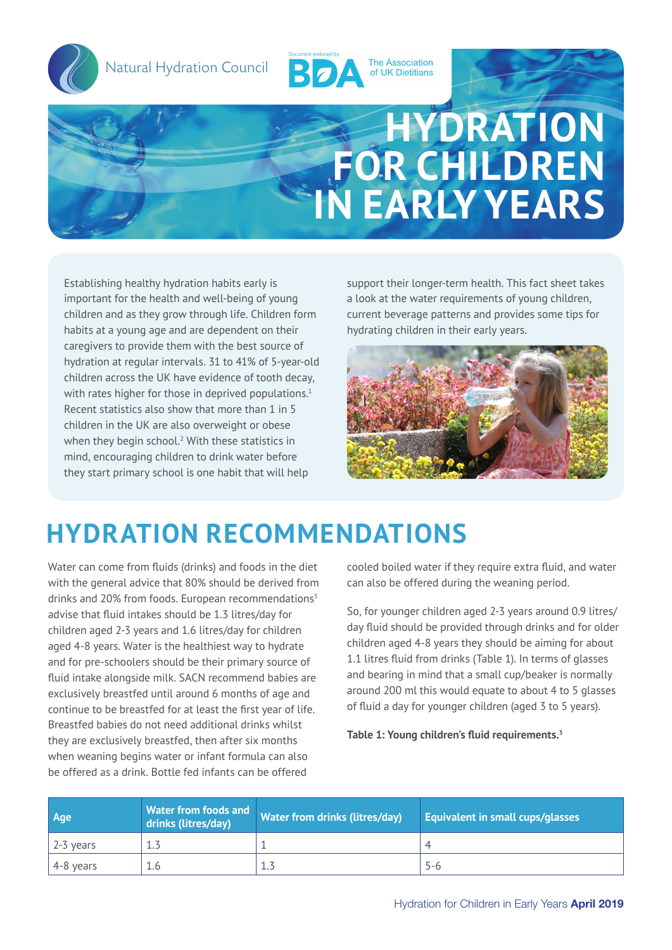

Natural Hydration Council

Natural Hydration Council



# **HYDRATION FOR CHILDREN IN EARLY YEARS**

Establishing healthy hydration habits early is important for the health and well-being of young children and as they grow through life. Children form habits at a young age and are dependent on their caregivers to provide them with the best source of hydration at regular intervals. 31 to 41% of 5-year-old children across the UK have evidence of tooth decay, with rates higher for those in deprived populations.<sup>1</sup> Recent statistics also show that more than 1 in 5 children in the UK are also overweight or obese when they begin school.<sup>2</sup> With these statistics in mind, encouraging children to drink water before they start primary school is one habit that will help

support their longer-term health. This fact sheet takes a look at the water requirements of young children, current beverage patterns and provides some tips for hydrating children in their early years.



### **HYDRATION RECOMMENDATIONS**

Water can come from fluids (drinks) and foods in the diet with the general advice that 80% should be derived from drinks and 20% from foods. European recommendations $3$ advise that fluid intakes should be 1.3 litres/day for children aged 2-3 years and 1.6 litres/day for children aged 4-8 years. Water is the healthiest way to hydrate and for pre-schoolers should be their primary source of fluid intake alongside milk. SACN recommend babies are exclusively breastfed until around 6 months of age and continue to be breastfed for at least the first year of life. Breastfed babies do not need additional drinks whilst they are exclusively breastfed, then after six months when weaning begins water or infant formula can also be offered as a drink. Bottle fed infants can be offered

cooled boiled water if they require extra fluid, and water can also be offered during the weaning period.

So, for younger children aged 2-3 years around 0.9 litres/ day fluid should be provided through drinks and for older children aged 4-8 years they should be aiming for about 1.1 litres fluid from drinks (Table 1). In terms of glasses and bearing in mind that a small cup/beaker is normally around 200 ml this would equate to about 4 to 5 glasses of fluid a day for younger children (aged 3 to 5 years).

**Table 1: Young children's fluid requirements.<sup>3</sup>**

| Age       | <b>Water from foods and</b><br>drinks (litres/day) | <b>Water from drinks (litres/day)</b> | <b>Equivalent in small cups/glasses</b> |
|-----------|----------------------------------------------------|---------------------------------------|-----------------------------------------|
| 2-3 years |                                                    |                                       |                                         |
| 4-8 years | 1.6                                                | 1.3                                   | 5-6                                     |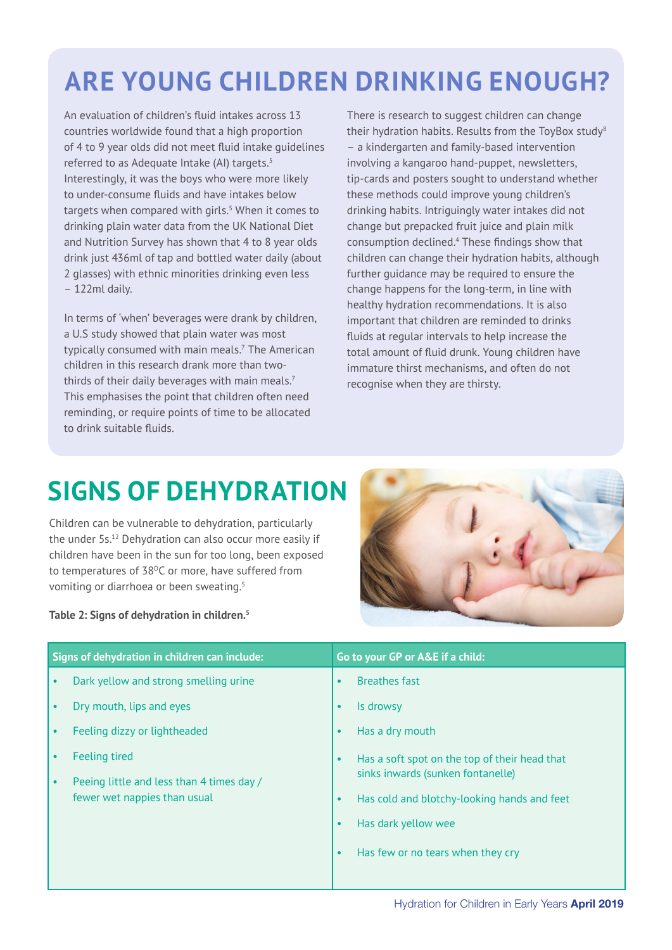### **ARE YOUNG CHILDREN DRINKING ENOUGH?**

An evaluation of children's fluid intakes across 13 countries worldwide found that a high proportion of 4 to 9 year olds did not meet fluid intake guidelines referred to as Adequate Intake (AI) targets.<sup>5</sup> Interestingly, it was the boys who were more likely to under-consume fluids and have intakes below targets when compared with girls.<sup>5</sup> When it comes to drinking plain water data from the UK National Diet and Nutrition Survey has shown that 4 to 8 year olds drink just 436ml of tap and bottled water daily (about 2 glasses) with ethnic minorities drinking even less – 122ml daily.

In terms of 'when' beverages were drank by children, a U.S study showed that plain water was most typically consumed with main meals.7 The American children in this research drank more than twothirds of their daily beverages with main meals.<sup>7</sup> This emphasises the point that children often need reminding, or require points of time to be allocated to drink suitable fluids.

There is research to suggest children can change their hydration habits. Results from the ToyBox study<sup>8</sup> – a kindergarten and family-based intervention involving a kangaroo hand-puppet, newsletters, tip-cards and posters sought to understand whether these methods could improve young children's drinking habits. Intriguingly water intakes did not change but prepacked fruit juice and plain milk consumption declined.4 These findings show that children can change their hydration habits, although further guidance may be required to ensure the change happens for the long-term, in line with healthy hydration recommendations. It is also important that children are reminded to drinks fluids at regular intervals to help increase the total amount of fluid drunk. Young children have immature thirst mechanisms, and often do not recognise when they are thirsty.

### **SIGNS OF DEHYDRATION**

Children can be vulnerable to dehydration, particularly the under 5s.12 Dehydration can also occur more easily if children have been in the sun for too long, been exposed to temperatures of 38<sup>o</sup>C or more, have suffered from vomiting or diarrhoea or been sweating.<sup>5</sup>

**Table 2: Signs of dehydration in children.<sup>5</sup>**

| Signs of dehydration in children can include: |                                                                                                   | Go to your GP or A&E if a child:                                                                                                                            |  |
|-----------------------------------------------|---------------------------------------------------------------------------------------------------|-------------------------------------------------------------------------------------------------------------------------------------------------------------|--|
| $\bullet$                                     | Dark yellow and strong smelling urine                                                             | <b>Breathes fast</b><br>$\bullet$                                                                                                                           |  |
| $\bullet$                                     | Dry mouth, lips and eyes                                                                          | Is drowsy<br>$\bullet$                                                                                                                                      |  |
| $\bullet$                                     | Feeling dizzy or lightheaded                                                                      | Has a dry mouth<br>$\bullet$                                                                                                                                |  |
| $\bullet$<br>$\bullet$                        | <b>Feeling tired</b><br>Peeing little and less than 4 times day /<br>fewer wet nappies than usual | Has a soft spot on the top of their head that<br>$\bullet$<br>sinks inwards (sunken fontanelle)<br>Has cold and blotchy-looking hands and feet<br>$\bullet$ |  |
|                                               |                                                                                                   | Has dark yellow wee<br>$\bullet$<br>Has few or no tears when they cry<br>$\bullet$                                                                          |  |
|                                               |                                                                                                   |                                                                                                                                                             |  |